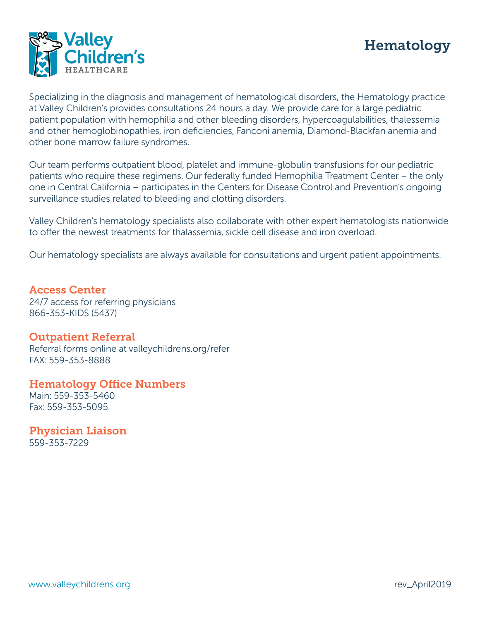



Specializing in the diagnosis and management of hematological disorders, the Hematology practice at Valley Children's provides consultations 24 hours a day. We provide care for a large pediatric patient population with hemophilia and other bleeding disorders, hypercoagulabilities, thalessemia and other hemoglobinopathies, iron deficiencies, Fanconi anemia, Diamond-Blackfan anemia and other bone marrow failure syndromes.

Our team performs outpatient blood, platelet and immune-globulin transfusions for our pediatric patients who require these regimens. Our federally funded Hemophilia Treatment Center – the only one in Central California – participates in the Centers for Disease Control and Prevention's ongoing surveillance studies related to bleeding and clotting disorders.

Valley Children's hematology specialists also collaborate with other expert hematologists nationwide to offer the newest treatments for thalassemia, sickle cell disease and iron overload.

Our hematology specialists are always available for consultations and urgent patient appointments.

Access Center 24/7 access for referring physicians 866-353-KIDS (5437)

## Outpatient Referral

Referral forms online at valleychildrens.org/refer FAX: 559-353-8888

Hematology Office Numbers

Main: 559-353-5460 Fax: 559-353-5095

Physician Liaison 559-353-7229